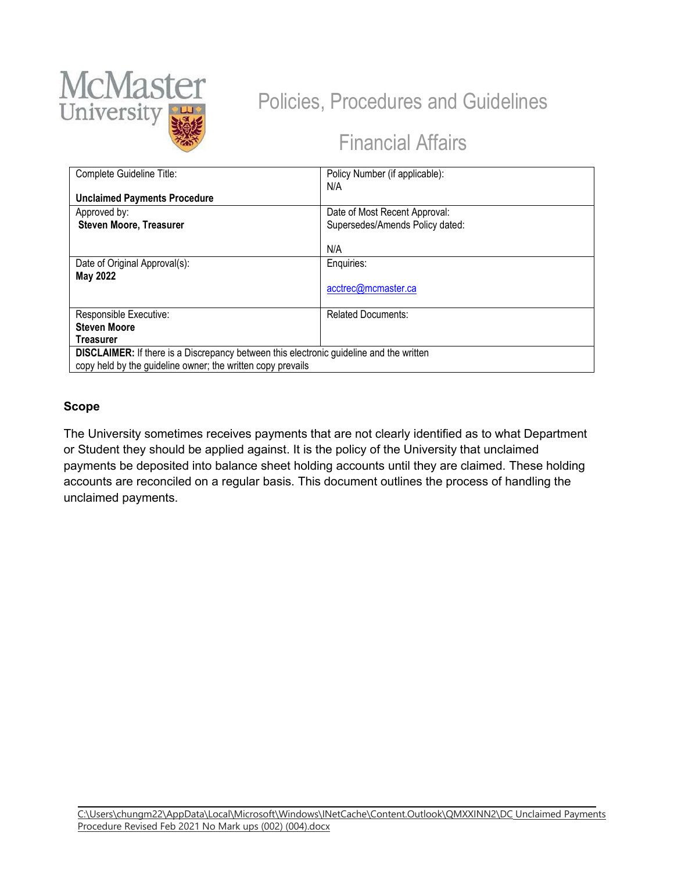

# Policies, Procedures and Guidelines

# Financial Affairs

| Complete Guideline Title:                                                               | Policy Number (if applicable):  |
|-----------------------------------------------------------------------------------------|---------------------------------|
|                                                                                         | N/A                             |
| <b>Unclaimed Payments Procedure</b>                                                     |                                 |
| Approved by:                                                                            | Date of Most Recent Approval:   |
| <b>Steven Moore, Treasurer</b>                                                          | Supersedes/Amends Policy dated: |
|                                                                                         |                                 |
|                                                                                         | N/A                             |
| Date of Original Approval(s):                                                           | Enquiries:                      |
| <b>May 2022</b>                                                                         |                                 |
|                                                                                         | acctrec@mcmaster.ca             |
| Responsible Executive:                                                                  | <b>Related Documents:</b>       |
| <b>Steven Moore</b>                                                                     |                                 |
| Treasurer                                                                               |                                 |
|                                                                                         |                                 |
| DISCLAIMER: If there is a Discrepancy between this electronic guideline and the written |                                 |
| copy held by the guideline owner; the written copy prevails                             |                                 |

#### **Scope**

The University sometimes receives payments that are not clearly identified as to what Department or Student they should be applied against. It is the policy of the University that unclaimed payments be deposited into balance sheet holding accounts until they are claimed. These holding accounts are reconciled on a regular basis. This document outlines the process of handling the unclaimed payments.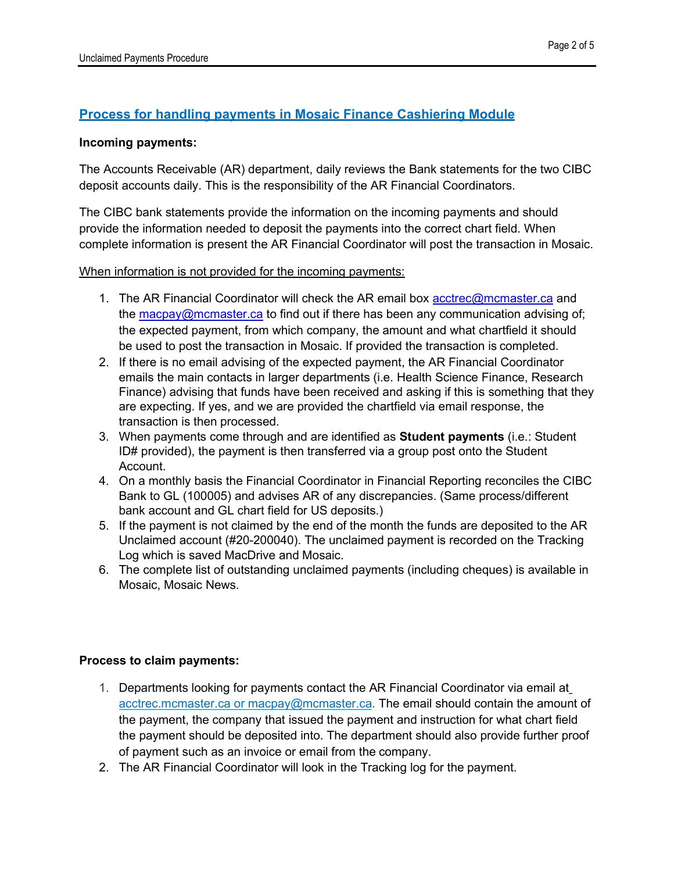# **Process for handling payments in Mosaic Finance Cashiering Module**

#### **Incoming payments:**

The Accounts Receivable (AR) department, daily reviews the Bank statements for the two CIBC deposit accounts daily. This is the responsibility of the AR Financial Coordinators.

The CIBC bank statements provide the information on the incoming payments and should provide the information needed to deposit the payments into the correct chart field. When complete information is present the AR Financial Coordinator will post the transaction in Mosaic.

#### When information is not provided for the incoming payments:

- 1. The AR Financial Coordinator will check the AR email box [acctrec@mcmaster.ca](mailto:acctrec@mcmaster.ca) and the [macpay@mcmaster.ca](mailto:macpay@mcmaster.ca) to find out if there has been any communication advising of; the expected payment, from which company, the amount and what chartfield it should be used to post the transaction in Mosaic. If provided the transaction is completed.
- 2. If there is no email advising of the expected payment, the AR Financial Coordinator emails the main contacts in larger departments (i.e. Health Science Finance, Research Finance) advising that funds have been received and asking if this is something that they are expecting. If yes, and we are provided the chartfield via email response, the transaction is then processed.
- 3. When payments come through and are identified as **Student payments** (i.e.: Student ID# provided), the payment is then transferred via a group post onto the Student Account.
- 4. On a monthly basis the Financial Coordinator in Financial Reporting reconciles the CIBC Bank to GL (100005) and advises AR of any discrepancies. (Same process/different bank account and GL chart field for US deposits.)
- 5. If the payment is not claimed by the end of the month the funds are deposited to the AR Unclaimed account (#20-200040). The unclaimed payment is recorded on the Tracking Log which is saved MacDrive and Mosaic.
- 6. The complete list of outstanding unclaimed payments (including cheques) is available in Mosaic, Mosaic News.

#### **Process to claim payments:**

- 1. Departments looking for payments contact the AR Financial Coordinator via email at [acctrec.mcmaster.ca or macpay@mcmaster.ca.](mailto:acctrec.mcmaster.caormacpay@mcmaster.ca) The email should contain the amount of the payment, the company that issued the payment and instruction for what chart field the payment should be deposited into. The department should also provide further proof of payment such as an invoice or email from the company.
- 2. The AR Financial Coordinator will look in the Tracking log for the payment.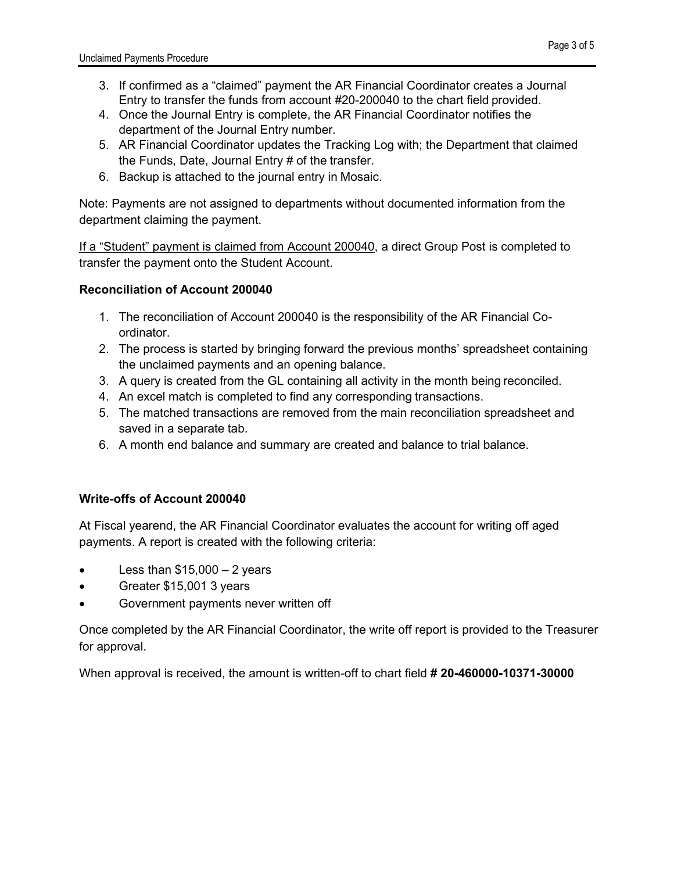- 3. If confirmed as a "claimed" payment the AR Financial Coordinator creates a Journal Entry to transfer the funds from account #20-200040 to the chart field provided.
- 4. Once the Journal Entry is complete, the AR Financial Coordinator notifies the department of the Journal Entry number.
- 5. AR Financial Coordinator updates the Tracking Log with; the Department that claimed the Funds, Date, Journal Entry # of the transfer.
- 6. Backup is attached to the journal entry in Mosaic.

Note: Payments are not assigned to departments without documented information from the department claiming the payment.

If a "Student" payment is claimed from Account 200040, a direct Group Post is completed to transfer the payment onto the Student Account.

### **Reconciliation of Account 200040**

- 1. The reconciliation of Account 200040 is the responsibility of the AR Financial Coordinator.
- 2. The process is started by bringing forward the previous months' spreadsheet containing the unclaimed payments and an opening balance.
- 3. A query is created from the GL containing all activity in the month being reconciled.
- 4. An excel match is completed to find any corresponding transactions.
- 5. The matched transactions are removed from the main reconciliation spreadsheet and saved in a separate tab.
- 6. A month end balance and summary are created and balance to trial balance.

### **Write-offs of Account 200040**

At Fiscal yearend, the AR Financial Coordinator evaluates the account for writing off aged payments. A report is created with the following criteria:

- Less than  $$15,000 2$  years
- Greater \$15,001 3 years
- Government payments never written off

Once completed by the AR Financial Coordinator, the write off report is provided to the Treasurer for approval.

When approval is received, the amount is written-off to chart field **# 20-460000-10371-30000**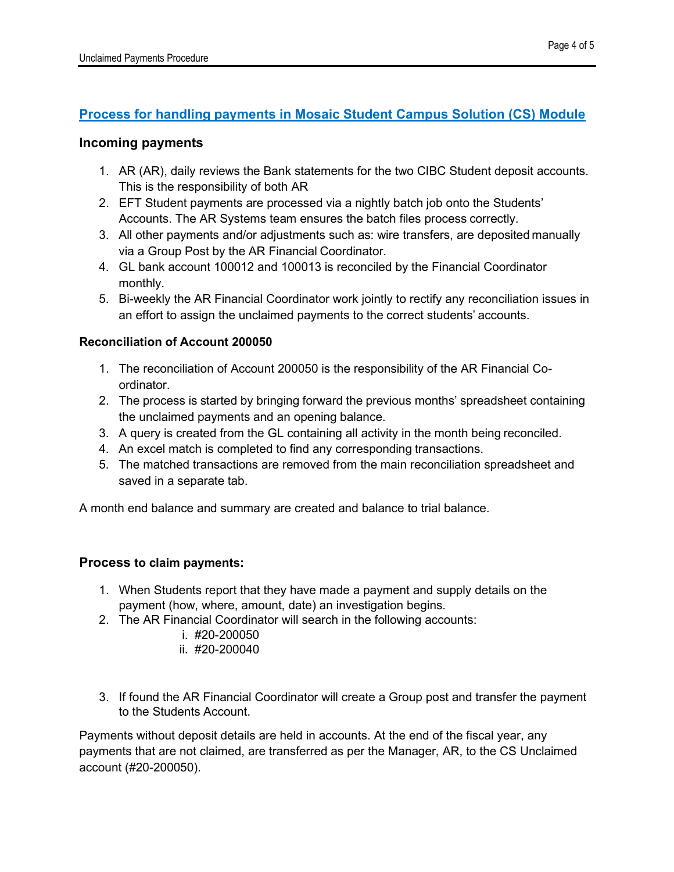## **Process for handling payments in Mosaic Student Campus Solution (CS) Module**

### **Incoming payments**

- 1. AR (AR), daily reviews the Bank statements for the two CIBC Student deposit accounts. This is the responsibility of both AR
- 2. EFT Student payments are processed via a nightly batch job onto the Students' Accounts. The AR Systems team ensures the batch files process correctly.
- 3. All other payments and/or adjustments such as: wire transfers, are deposited manually via a Group Post by the AR Financial Coordinator.
- 4. GL bank account 100012 and 100013 is reconciled by the Financial Coordinator monthly.
- 5. Bi-weekly the AR Financial Coordinator work jointly to rectify any reconciliation issues in an effort to assign the unclaimed payments to the correct students' accounts.

### **Reconciliation of Account 200050**

- 1. The reconciliation of Account 200050 is the responsibility of the AR Financial Coordinator.
- 2. The process is started by bringing forward the previous months' spreadsheet containing the unclaimed payments and an opening balance.
- 3. A query is created from the GL containing all activity in the month being reconciled.
- 4. An excel match is completed to find any corresponding transactions.
- 5. The matched transactions are removed from the main reconciliation spreadsheet and saved in a separate tab.

A month end balance and summary are created and balance to trial balance.

### **Process to claim payments:**

- 1. When Students report that they have made a payment and supply details on the payment (how, where, amount, date) an investigation begins.
- 2. The AR Financial Coordinator will search in the following accounts:
	- i. #20-200050
	- ii. #20-200040
- 3. If found the AR Financial Coordinator will create a Group post and transfer the payment to the Students Account.

Payments without deposit details are held in accounts. At the end of the fiscal year, any payments that are not claimed, are transferred as per the Manager, AR, to the CS Unclaimed account (#20-200050).